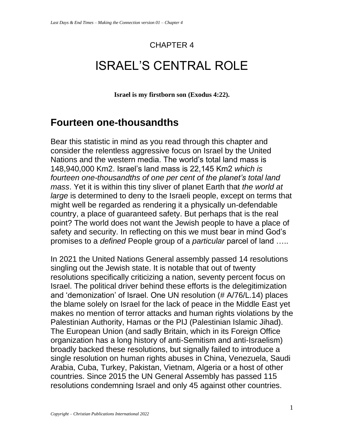#### CHAPTER 4

# ISRAEL'S CENTRAL ROLE

**Israel is my firstborn son (Exodus 4:22).**

#### **Fourteen one-thousandths**

Bear this statistic in mind as you read through this chapter and consider the relentless aggressive focus on Israel by the United Nations and the western media. The world's total land mass is 148,940,000 Km2. Israel's land mass is 22,145 Km2 *which is fourteen one-thousandths of one per cent of the planet's total land mass*. Yet it is within this tiny sliver of planet Earth that *the world at large* is determined to deny to the Israeli people, except on terms that might well be regarded as rendering it a physically un-defendable country, a place of guaranteed safety. But perhaps that is the real point? The world does not want the Jewish people to have a place of safety and security. In reflecting on this we must bear in mind God's promises to a *defined* People group of a *particular* parcel of land …..

In 2021 the United Nations General assembly passed 14 resolutions singling out the Jewish state. It is notable that out of twenty resolutions specifically criticizing a nation, seventy percent focus on Israel. The political driver behind these efforts is the delegitimization and 'demonization' of Israel. One UN resolution (# A/76/L.14) places the blame solely on Israel for the lack of peace in the Middle East yet makes no mention of terror attacks and human rights violations by the Palestinian Authority, Hamas or the PIJ (Palestinian Islamic Jihad). The European Union (and sadly Britain, which in its Foreign Office organization has a long history of anti-Semitism and anti-Israelism) broadly backed these resolutions, but signally failed to introduce a single resolution on human rights abuses in China, Venezuela, Saudi Arabia, Cuba, Turkey, Pakistan, Vietnam, Algeria or a host of other countries. Since 2015 the UN General Assembly has passed 115 resolutions condemning Israel and only 45 against other countries.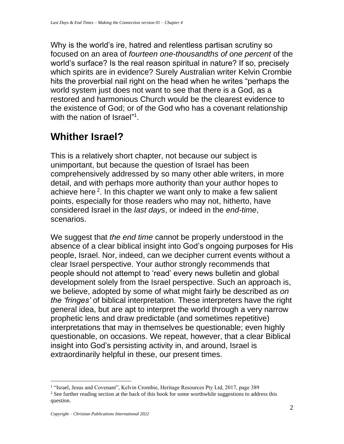Why is the world's ire, hatred and relentless partisan scrutiny so focused on an area of *fourteen one-thousandths of one percent* of the world's surface? Is the real reason spiritual in nature? If so, precisely which spirits are in evidence? Surely Australian writer Kelvin Crombie hits the proverbial nail right on the head when he writes "perhaps the world system just does not want to see that there is a God, as a restored and harmonious Church would be the clearest evidence to the existence of God; or of the God who has a covenant relationship with the nation of Israel"<sup>1</sup>.

### **Whither Israel?**

This is a relatively short chapter, not because our subject is unimportant, but because the question of Israel has been comprehensively addressed by so many other able writers, in more detail, and with perhaps more authority than your author hopes to achieve here<sup>2</sup>. In this chapter we want only to make a few salient points, especially for those readers who may not, hitherto, have considered Israel in the *last days*, or indeed in the *end-time*, scenarios.

We suggest that *the end time* cannot be properly understood in the absence of a clear biblical insight into God's ongoing purposes for His people, Israel. Nor, indeed, can we decipher current events without a clear Israel perspective. Your author strongly recommends that people should not attempt to 'read' every news bulletin and global development solely from the Israel perspective. Such an approach is, we believe, adopted by some of what might fairly be described as *on the 'fringes'* of biblical interpretation. These interpreters have the right general idea, but are apt to interpret the world through a very narrow prophetic lens and draw predictable (and sometimes repetitive) interpretations that may in themselves be questionable; even highly questionable, on occasions. We repeat, however, that a clear Biblical insight into God's persisting activity in, and around, Israel is extraordinarily helpful in these, our present times.

<sup>&</sup>lt;sup>1</sup> "Israel, Jesus and Covenant", Kelvin Crombie, Heritage Resources Pty Ltd, 2017, page 389 <sup>2</sup> See further reading section at the back of this book for some worthwhile suggestions to address this question.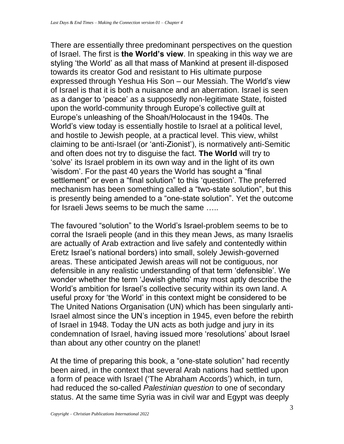There are essentially three predominant perspectives on the question of Israel. The first is **the World's view**. In speaking in this way we are styling 'the World' as all that mass of Mankind at present ill-disposed towards its creator God and resistant to His ultimate purpose expressed through Yeshua His Son – our Messiah. The World's view of Israel is that it is both a nuisance and an aberration. Israel is seen as a danger to 'peace' as a supposedly non-legitimate State, foisted upon the world-community through Europe's collective guilt at Europe's unleashing of the Shoah/Holocaust in the 1940s. The World's view today is essentially hostile to Israel at a political level, and hostile to Jewish people, at a practical level. This view, whilst claiming to be anti-Israel (or 'anti-Zionist'), is normatively anti-Semitic and often does not try to disguise the fact. **The World** will try to 'solve' its Israel problem in its own way and in the light of its own 'wisdom'. For the past 40 years the World has sought a "final settlement" or even a "final solution" to this 'question'. The preferred mechanism has been something called a "two-state solution", but this is presently being amended to a "one-state solution". Yet the outcome for Israeli Jews seems to be much the same …..

The favoured "solution" to the World's Israel-problem seems to be to corral the Israeli people (and in this they mean Jews, as many Israelis are actually of Arab extraction and live safely and contentedly within Eretz Israel's national borders) into small, solely Jewish-governed areas. These anticipated Jewish areas will not be contiguous, nor defensible in any realistic understanding of that term 'defensible'. We wonder whether the term 'Jewish ghetto' may most aptly describe the World's ambition for Israel's collective security within its own land. A useful proxy for 'the World' in this context might be considered to be The United Nations Organisation (UN) which has been singularly anti-Israel almost since the UN's inception in 1945, even before the rebirth of Israel in 1948. Today the UN acts as both judge and jury in its condemnation of Israel, having issued more 'resolutions' about Israel than about any other country on the planet!

At the time of preparing this book, a "one-state solution" had recently been aired, in the context that several Arab nations had settled upon a form of peace with Israel ('The Abraham Accords') which, in turn, had reduced the so-called *Palestinian question* to one of secondary status. At the same time Syria was in civil war and Egypt was deeply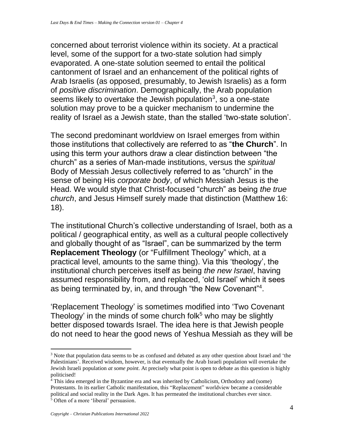concerned about terrorist violence within its society. At a practical level, some of the support for a two-state solution had simply evaporated. A one-state solution seemed to entail the political cantonment of Israel and an enhancement of the political rights of Arab Israelis (as opposed, presumably, to Jewish Israelis) as a form of *positive discrimination*. Demographically, the Arab population seems likely to overtake the Jewish population<sup>3</sup>, so a one-state solution may prove to be a quicker mechanism to undermine the reality of Israel as a Jewish state, than the stalled 'two-state solution'.

The second predominant worldview on Israel emerges from within those institutions that collectively are referred to as "**the Church**". In using this term your authors draw a clear distinction between "the church" as a series of Man-made institutions, versus the *spiritual* Body of Messiah Jesus collectively referred to as "church" in the sense of being His *corporate body*, of which Messiah Jesus is the Head. We would style that Christ-focused "church" as being *the true church*, and Jesus Himself surely made that distinction (Matthew 16: 18).

The institutional Church's collective understanding of Israel, both as a political / geographical entity, as well as a cultural people collectively and globally thought of as "Israel", can be summarized by the term **Replacement Theology** (or "Fulfillment Theology" which, at a practical level, amounts to the same thing). Via this 'theology', the institutional church perceives itself as being *the new Israel*, having assumed responsibility from, and replaced, 'old Israel' which it sees as being terminated by, in, and through "the New Covenant"<sup>4</sup>.

'Replacement Theology' is sometimes modified into 'Two Covenant Theology' in the minds of some church folk $5$  who may be slightly better disposed towards Israel. The idea here is that Jewish people do not need to hear the good news of Yeshua Messiah as they will be

<sup>&</sup>lt;sup>3</sup> Note that population data seems to be as confused and debated as any other question about Israel and 'the Palestinians'. Received wisdom, however, is that eventually the Arab Israeli population will overtake the Jewish Israeli population *at some point*. At precisely what point is open to debate as this question is highly politicised!

 $4$  This idea emerged in the Byzantine era and was inherited by Catholicism, Orthodoxy and (some) Protestants. In its earlier Catholic manifestation, this "Replacement" worldview became a considerable political and social reality in the Dark Ages. It has permeated the institutional churches ever since. <sup>5</sup> Often of a more 'liberal' persuasion.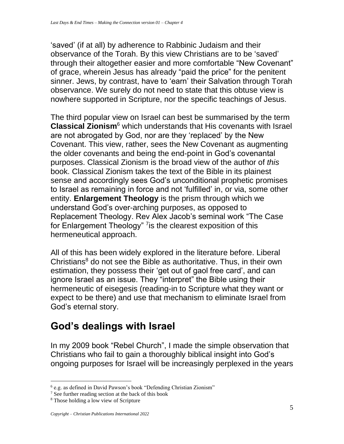'saved' (if at all) by adherence to Rabbinic Judaism and their observance of the Torah. By this view Christians are to be 'saved' through their altogether easier and more comfortable "New Covenant" of grace, wherein Jesus has already "paid the price" for the penitent sinner. Jews, by contrast, have to 'earn' their Salvation through Torah observance. We surely do not need to state that this obtuse view is nowhere supported in Scripture, nor the specific teachings of Jesus.

The third popular view on Israel can best be summarised by the term **Classical Zionism**<sup>6</sup> which understands that His covenants with Israel are not abrogated by God, nor are they 'replaced' by the New Covenant. This view, rather, sees the New Covenant as augmenting the older covenants and being the end-point in God's covenantal purposes. Classical Zionism is the broad view of the author of *this* book. Classical Zionism takes the text of the Bible in its plainest sense and accordingly sees God's unconditional prophetic promises to Israel as remaining in force and not 'fulfilled' in, or via, some other entity. **Enlargement Theology** is the prism through which we understand God's over-arching purposes, as opposed to Replacement Theology. Rev Alex Jacob's seminal work "The Case for Enlargement Theology" <sup>7</sup> is the clearest exposition of this hermeneutical approach.

All of this has been widely explored in the literature before. Liberal Christians<sup>8</sup> do not see the Bible as authoritative. Thus, in their own estimation, they possess their 'get out of gaol free card', and can ignore Israel as an issue. They "interpret" the Bible using their hermeneutic of eisegesis (reading-in to Scripture what they want or expect to be there) and use that mechanism to eliminate Israel from God's eternal story.

#### **God's dealings with Israel**

In my 2009 book "Rebel Church", I made the simple observation that Christians who fail to gain a thoroughly biblical insight into God's ongoing purposes for Israel will be increasingly perplexed in the years

<sup>&</sup>lt;sup>6</sup> e.g. as defined in David Pawson's book "Defending Christian Zionism"

<sup>7</sup> See further reading section at the back of this book

<sup>8</sup> Those holding a low view of Scripture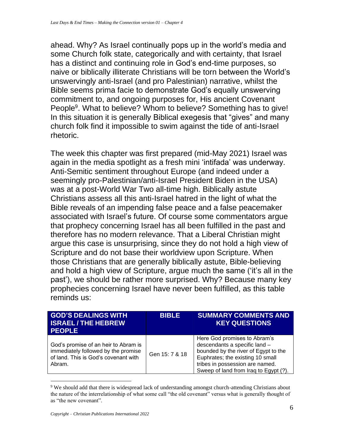ahead. Why? As Israel continually pops up in the world's media and some Church folk state, categorically and with certainty, that Israel has a distinct and continuing role in God's end-time purposes, so naive or biblically illiterate Christians will be torn between the World's unswervingly anti-Israel (and pro Palestinian) narrative, whilst the Bible seems prima facie to demonstrate God's equally unswerving commitment to, and ongoing purposes for, His ancient Covenant People<sup>9</sup>. What to believe? Whom to believe? Something has to give! In this situation it is generally Biblical exegesis that "gives" and many church folk find it impossible to swim against the tide of anti-Israel rhetoric.

The week this chapter was first prepared (mid-May 2021) Israel was again in the media spotlight as a fresh mini 'intifada' was underway. Anti-Semitic sentiment throughout Europe (and indeed under a seemingly pro-Palestinian/anti-Israel President Biden in the USA) was at a post-World War Two all-time high. Biblically astute Christians assess all this anti-Israel hatred in the light of what the Bible reveals of an impending false peace and a false peacemaker associated with Israel's future. Of course some commentators argue that prophecy concerning Israel has all been fulfilled in the past and therefore has no modern relevance. That a Liberal Christian might argue this case is unsurprising, since they do not hold a high view of Scripture and do not base their worldview upon Scripture. When those Christians that are generally biblically astute, Bible-believing and hold a high view of Scripture, argue much the same ('it's all in the past'), we should be rather more surprised. Why? Because many key prophecies concerning Israel have never been fulfilled, as this table reminds us:

| <b>GOD'S DEALINGS WITH</b><br><b>ISRAEL/THE HEBREW</b><br><b>PEOPLE</b>                                                       | <b>BIBLE</b>   | <b>SUMMARY COMMENTS AND</b><br><b>KEY QUESTIONS</b>                                                                                                                                                                   |
|-------------------------------------------------------------------------------------------------------------------------------|----------------|-----------------------------------------------------------------------------------------------------------------------------------------------------------------------------------------------------------------------|
| God's promise of an heir to Abram is<br>immediately followed by the promise<br>of land. This is God's covenant with<br>Abram. | Gen 15: 7 & 18 | Here God promises to Abram's<br>descendants a specific land -<br>bounded by the river of Egypt to the<br>Euphrates; the existing 10 small<br>tribes in possession are named.<br>Sweep of land from Iraq to Egypt (?). |

<sup>&</sup>lt;sup>9</sup> We should add that there is widespread lack of understanding amongst church-attending Christians about the nature of the interrelationship of what some call "the old covenant" versus what is generally thought of as "the new covenant".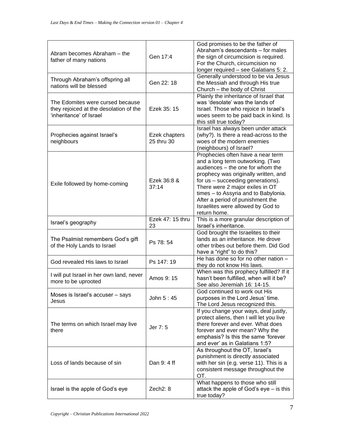| Abram becomes Abraham - the<br>father of many nations                                                 | Gen 17:4                    | God promises to be the father of<br>Abraham's descendants - for males<br>the sign of circumcision is required.<br>For the Church, circumcision no<br>longer required - see Galatians 5: 2.                                                                                                                                                                 |
|-------------------------------------------------------------------------------------------------------|-----------------------------|------------------------------------------------------------------------------------------------------------------------------------------------------------------------------------------------------------------------------------------------------------------------------------------------------------------------------------------------------------|
| Through Abraham's offspring all<br>nations will be blessed                                            | Gen 22: 18                  | Generally understood to be via Jesus<br>the Messiah and through His true<br>Church - the body of Christ                                                                                                                                                                                                                                                    |
| The Edomites were cursed because<br>they rejoiced at the desolation of the<br>'inheritance' of Israel | Ezek 35: 15                 | Plainly the inheritance of Israel that<br>was 'desolate' was the lands of<br>Israel. Those who rejoice in Israel's<br>woes seem to be paid back in kind. Is<br>this still true today?                                                                                                                                                                      |
| Prophecies against Israel's<br>neighbours                                                             | Ezek chapters<br>25 thru 30 | Israel has always been under attack<br>(why?). Is there a read-across to the<br>woes of the modern enemies<br>(neighbours) of Israel?                                                                                                                                                                                                                      |
| Exile followed by home-coming                                                                         | Ezek 36:8 &<br>37:14        | Prophecies often have a near term<br>and a long term outworking. (Two<br>audiences - the one for whom the<br>prophecy was originally written, and<br>for us - succeeding generations).<br>There were 2 major exiles in OT<br>times - to Assyria and to Babylonia.<br>After a period of punishment the<br>Israelites were allowed by God to<br>return home. |
| Israel's geography                                                                                    | Ezek 47: 15 thru<br>23      | This is a more granular description of<br>Israel's inheritance.                                                                                                                                                                                                                                                                                            |
| The Psalmist remembers God's gift<br>of the Holy Lands to Israel                                      | Ps 78: 54                   | God brought the Israelites to their<br>lands as an inheritance. He drove<br>other tribes out before them. Did God<br>have a "right" to do this?                                                                                                                                                                                                            |
| God revealed His laws to Israel                                                                       | Ps 147: 19                  | He has done so for no other nation -<br>they do not know His laws.                                                                                                                                                                                                                                                                                         |
| I will put Israel in her own land, never<br>more to be uprooted                                       | Amos 9: 15                  | When was this prophecy fulfilled? If it<br>hasn't been fulfilled, when will it be?<br>See also Jeremiah 16: 14-15.                                                                                                                                                                                                                                         |
| Moses is Israel's accuser - says<br>Jesus                                                             | John 5:45                   | God continued to work out His<br>purposes in the Lord Jesus' time.<br>The Lord Jesus recognized this.                                                                                                                                                                                                                                                      |
| The terms on which Israel may live<br>there                                                           | Jer 7: 5                    | If you change your ways, deal justly,<br>protect aliens, then I will let you live<br>there forever and ever. What does<br>forever and ever mean? Why the<br>emphasis? Is this the same 'forever<br>and ever' as in Galatians 1:5?                                                                                                                          |
| Loss of lands because of sin                                                                          | Dan 9: 4 ff                 | As throughout the OT, Israel's<br>punishment is directly associated<br>with her sin (e.g. verse 11). This is a<br>consistent message throughout the<br>OT.                                                                                                                                                                                                 |
| Israel is the apple of God's eye                                                                      | Zech <sub>2</sub> : 8       | What happens to those who still<br>attack the apple of God's eye - is this<br>true today?                                                                                                                                                                                                                                                                  |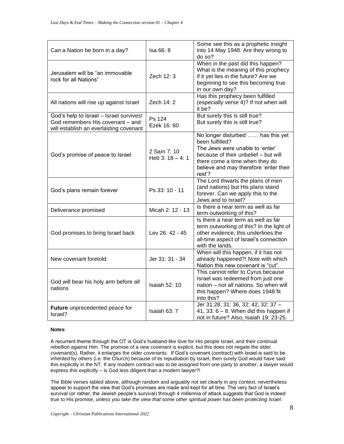| Can a Nation be born in a day?                                                                                        | Isa 66: 8                         | Some see this as a prophetic insight<br>into 14 May 1948. Are they wrong to<br>do so?                                                                                                                                 |
|-----------------------------------------------------------------------------------------------------------------------|-----------------------------------|-----------------------------------------------------------------------------------------------------------------------------------------------------------------------------------------------------------------------|
| Jerusalem will be "an immovable<br>rock for all Nations"                                                              | Zech 12: 3                        | When in the past did this happen?<br>What is the meaning of this prophecy<br>if it yet lies in the future? Are we<br>beginning to see this becoming true<br>in our own day?                                           |
| All nations will rise up against Israel                                                                               | Zech 14: 2                        | Has this prophecy been fulfilled<br>(especially verse 4)? If not when will<br>it be?                                                                                                                                  |
| God's help to Israel - Israel survives!<br>God remembers His covenant - and<br>will establish an everlasting covenant | Ps 124<br>Ezek 16: 60             | But surely this is still true?<br>But surely this is still true?                                                                                                                                                      |
| God's promise of peace to Israel                                                                                      | 2 Sam 7: 10<br>Heb $3: 18 - 4: 1$ | No longer disturbed  has this yet<br>been fulfilled?<br>The Jews were unable to 'enter'<br>because of their unbelief - but will<br>there come a time when they do<br>believe and may therefore 'enter their<br>rest'? |
| God's plans remain forever                                                                                            | Ps 33: 10 - 11                    | The Lord thwarts the plans of men<br>(and nations) but His plans stand<br>forever. Can we apply this to the<br>Jews and to Israel?                                                                                    |
| Deliverance promised                                                                                                  | Micah 2: 12 - 13                  | Is there a near term as well as far<br>term outworking of this?                                                                                                                                                       |
| God promises to bring Israel back                                                                                     | Lev 26: 42 - 45                   | Is there a near term as well as far<br>term outworking of this? In the light of<br>other evidence, this underlines the<br>all-time aspect of Israel's connection<br>with the lands.                                   |
| New covenant foretold                                                                                                 | Jer 31: 31 - 34                   | When will this happen, if it has not<br>already happened?! Note with which<br>Nation this new covenant is "cut".                                                                                                      |
| God will bear his holy arm before all<br>nations                                                                      | <b>Isaiah 52: 10</b>              | This cannot refer to Cyrus because<br>Israel was redeemed from just one<br>nation - not all nations. So when will<br>this happen? Where does 1948 fit<br>into this?                                                   |
| Future unprecedented peace for<br>Israel?                                                                             | Isaiah 63: 7                      | Jer 31:28, 31: 36, 32: 42, 32: 37 -<br>41, 33: $6 - 8$ . When did this happen if<br>not in future? Also, Isaiah 19: 23-25.                                                                                            |

#### **Notes**:

A recurrent theme through the OT is God's husband-like love for His people Israel, and their continual rebellion against Him. The promise of a *new covenant* is explicit, but this does not negate the older covenant(s). Rather, it enlarges the older covenants. If God's covenant (contract) with Israel is said to be inherited by others (i.e. the Church) because of its repudiation by Israel, then surely God would have said this explicitly in the NT. If any modern contract was to be assigned from one party to another, a lawyer would express this explicitly – is God less diligent than a modern lawyer?!

The Bible verses tabled above, although random and arguably not set clearly in any context, nevertheless appear to support the view that God's promises are made and kept for all time. The very fact of Israel's survival (or rather, the Jewish people's survival) through 4 millennia of attack suggests that God is indeed true to His promise, *unless you take the view that some other spiritual power has been protecting Israel*.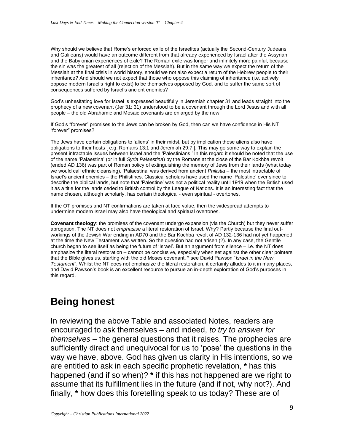Why should we believe that Rome's enforced exile of the Israelites (actually the Second-Century Judeans and Galileans) would have an outcome different from that already experienced by Israel after the Assyrian and the Babylonian experiences of exile? The Roman exile was longer and infinitely more painful, because the sin was the greatest of all (rejection of the Messiah). But in the same way we expect the return of the Messiah at the final crisis in world history, should we not also expect a return of the Hebrew people to their inheritance? And should we not expect that those who oppose this claiming of inheritance (i.e. actively oppose modern Israel's right to exist) to be themselves opposed by God, and to suffer the same sort of consequences suffered by Israel's ancient enemies?

God's unhesitating love for Israel is expressed beautifully in Jeremiah chapter 31 and leads straight into the prophecy of a new covenant (Jer 31: 31) understood to be a covenant through the Lord Jesus and with all people – the old Abrahamic and Mosaic covenants are enlarged by the new.

If God's "forever" promises to the Jews can be broken by God, then can we have confidence in His NT "forever" promises?

The Jews have certain obligations to 'aliens' in their midst, but by implication those aliens also have obligations to their hosts [ e.g. Romans 13:1 and Jeremiah 29:7 ]. This may go some way to explain the present intractable issues between Israel and the 'Palestinians.' In this regard it should be noted that the use of the name 'Palaestina' (or in full *Syria Palaestina*) by the Romans at the close of the Bar Kokhba revolt (ended AD 136) was part of Roman policy of extinguishing the memory of Jews from their lands (what today we would call ethnic cleansing). 'Palaestina' was derived from ancient *Philistia* – the most intractable of Israel's ancient enemies – the Philistines. Classical scholars have used the name 'Palestine' ever since to describe the biblical lands, but note that 'Palestine' was not a political reality until 1919 when the British used it as a title for the lands ceded to British control by the League of Nations. It is an interesting fact that the name chosen, although scholarly, has certain theological - even spiritual - overtones.

If the OT promises and NT confirmations are taken at face value, then the widespread attempts to undermine modern Israel may also have theological and spiritual overtones.

**Covenant theology**: the promises of the covenant undergo expansion (via the Church) but they never suffer abrogation. The NT does not *emphasise* a literal restoration of Israel. Why? Partly because the final outworkings of the Jewish War ending in AD70 and the Bar Kochba revolt of AD 132-136 had not yet happened at the time the New Testament was written. So the question had not arisen (?). In any case, the Gentile church began to see itself as being the future of 'Israel'. But an argument from silence – i.e. the NT does emphasize the literal restoration – cannot be conclusive, especially when set against the other clear pointers that the Bible gives us, starting with the old Moses covenant. \* see David Pawson "*Israel in the New Testament*". Whilst the NT does not emphasize the literal restoration, it certainly alludes to it in many places, and David Pawson's book is an excellent resource to pursue an in-depth exploration of God's purposes in this regard.

#### **Being honest**

In reviewing the above Table and associated Notes, readers are encouraged to ask themselves – and indeed, *to try to answer for themselves* – the general questions that it raises. The prophecies are sufficiently direct and unequivocal for us to 'pose' the questions in the way we have, above. God has given us clarity in His intentions, so we are entitled to ask in each specific prophetic revelation, **\*** has this happened (and if so when)? **\*** if this has not happened are we right to assume that its fulfillment lies in the future (and if not, why not?). And finally, **\*** how does this foretelling speak to us today? These are of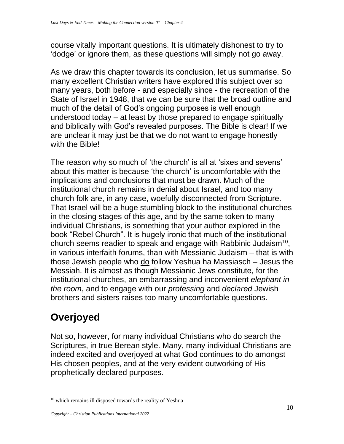course vitally important questions. It is ultimately dishonest to try to 'dodge' or ignore them, as these questions will simply not go away.

As we draw this chapter towards its conclusion, let us summarise. So many excellent Christian writers have explored this subject over so many years, both before - and especially since - the recreation of the State of Israel in 1948, that we can be sure that the broad outline and much of the detail of God's ongoing purposes is well enough understood today – at least by those prepared to engage spiritually and biblically with God's revealed purposes. The Bible is clear! If we are unclear it may just be that we do not want to engage honestly with the Bible!

The reason why so much of 'the church' is all at 'sixes and sevens' about this matter is because 'the church' is uncomfortable with the implications and conclusions that must be drawn. Much of the institutional church remains in denial about Israel, and too many church folk are, in any case, woefully disconnected from Scripture. That Israel will be a huge stumbling block to the institutional churches in the closing stages of this age, and by the same token to many individual Christians, is something that your author explored in the book "Rebel Church". It is hugely ironic that much of the institutional church seems readier to speak and engage with Rabbinic Judaism<sup>10</sup>, in various interfaith forums, than with Messianic Judaism – that is with those Jewish people who do follow Yeshua ha Massiasch – Jesus the Messiah. It is almost as though Messianic Jews constitute, for the institutional churches, an embarrassing and inconvenient *elephant in the room*, and to engage with our *professing* and *declared* Jewish brothers and sisters raises too many uncomfortable questions.

## **Overjoyed**

Not so, however, for many individual Christians who do search the Scriptures, in true Berean style. Many, many individual Christians are indeed excited and overjoyed at what God continues to do amongst His chosen peoples, and at the very evident outworking of His prophetically declared purposes.

<sup>&</sup>lt;sup>10</sup> which remains ill disposed towards the reality of Yeshua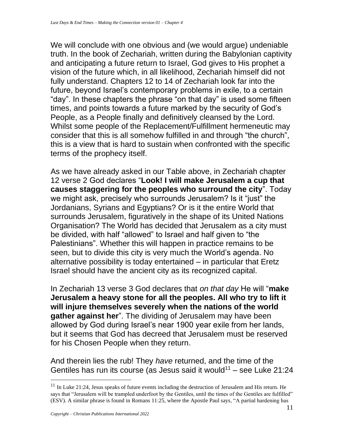We will conclude with one obvious and (we would argue) undeniable truth. In the book of Zechariah, written during the Babylonian captivity and anticipating a future return to Israel, God gives to His prophet a vision of the future which, in all likelihood, Zechariah himself did not fully understand. Chapters 12 to 14 of Zechariah look far into the future, beyond Israel's contemporary problems in exile, to a certain "day". In these chapters the phrase "on that day" is used some fifteen times, and points towards a future marked by the security of God's People, as a People finally and definitively cleansed by the Lord. Whilst some people of the Replacement/Fulfillment hermeneutic may consider that this is all somehow fulfilled in and through "the church", this is a view that is hard to sustain when confronted with the specific terms of the prophecy itself.

As we have already asked in our Table above, in Zechariah chapter 12 verse 2 God declares "**Look! I will make Jerusalem a cup that causes staggering for the peoples who surround the city**". Today we might ask, precisely who surrounds Jerusalem? Is it "just" the Jordanians, Syrians and Egyptians? Or is it the entire World that surrounds Jerusalem, figuratively in the shape of its United Nations Organisation? The World has decided that Jerusalem as a city must be divided, with half "allowed" to Israel and half given to "the Palestinians". Whether this will happen in practice remains to be seen, but to divide this city is very much the World's agenda. No alternative possibility is today entertained – in particular that Eretz Israel should have the ancient city as its recognized capital.

In Zechariah 13 verse 3 God declares that *on that day* He will "**make Jerusalem a heavy stone for all the peoples. All who try to lift it will injure themselves severely when the nations of the world gather against her**". The dividing of Jerusalem may have been allowed by God during Israel's near 1900 year exile from her lands, but it seems that God has decreed that Jerusalem must be reserved for his Chosen People when they return.

And therein lies the rub! They *have* returned, and the time of the Gentiles has run its course (as Jesus said it would<sup>11</sup> – see Luke 21:24

 $11$  In [Luke 21:24,](https://biblia.com/bible/esv/Luke%2021.24) Jesus speaks of future events including the destruction of Jerusalem and His return. He says that "Jerusalem will be trampled underfoot by the Gentiles, until the times of the Gentiles are fulfilled" (ESV). A similar phrase is found in [Romans 11:25,](https://biblia.com/bible/esv/Rom%2011.25) where the Apostle Paul says, "A partial hardening has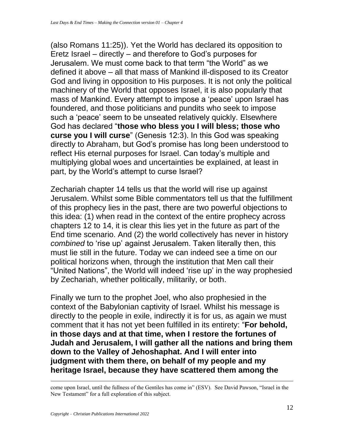(also Romans 11:25)). Yet the World has declared its opposition to Eretz Israel – directly – and therefore to God's purposes for Jerusalem. We must come back to that term "the World" as we defined it above – all that mass of Mankind ill-disposed to its Creator God and living in opposition to His purposes. It is not only the political machinery of the World that opposes Israel, it is also popularly that mass of Mankind. Every attempt to impose a 'peace' upon Israel has foundered, and those politicians and pundits who seek to impose such a 'peace' seem to be unseated relatively quickly. Elsewhere God has declared "**those who bless you I will bless; those who curse you I will curse**" (Genesis 12:3). In this God was speaking directly to Abraham, but God's promise has long been understood to reflect His eternal purposes for Israel. Can today's multiple and multiplying global woes and uncertainties be explained, at least in part, by the World's attempt to curse Israel?

Zechariah chapter 14 tells us that the world will rise up against Jerusalem. Whilst some Bible commentators tell us that the fulfillment of this prophecy lies in the past, there are two powerful objections to this idea: (1) when read in the context of the entire prophecy across chapters 12 to 14, it is clear this lies yet in the future as part of the End time scenario. And (2) the world collectively has never in history *combined* to 'rise up' against Jerusalem. Taken literally then, this must lie still in the future. Today we can indeed see a time on our political horizons when, through the institution that Men call their "United Nations", the World will indeed 'rise up' in the way prophesied by Zechariah, whether politically, militarily, or both.

Finally we turn to the prophet Joel, who also prophesied in the context of the Babylonian captivity of Israel. Whilst his message is directly to the people in exile, indirectly it is for us, as again we must comment that it has not yet been fulfilled in its entirety: "**For behold, in those days and at that time, when I restore the fortunes of Judah and Jerusalem, I will gather all the nations and bring them down to the Valley of Jehoshaphat. And I will enter into judgment with them there, on behalf of my people and my heritage Israel, because they have scattered them among the** 

come upon Israel, until the fullness of the Gentiles has come in" (ESV). See David Pawson, "Israel in the New Testament" for a full exploration of this subject.